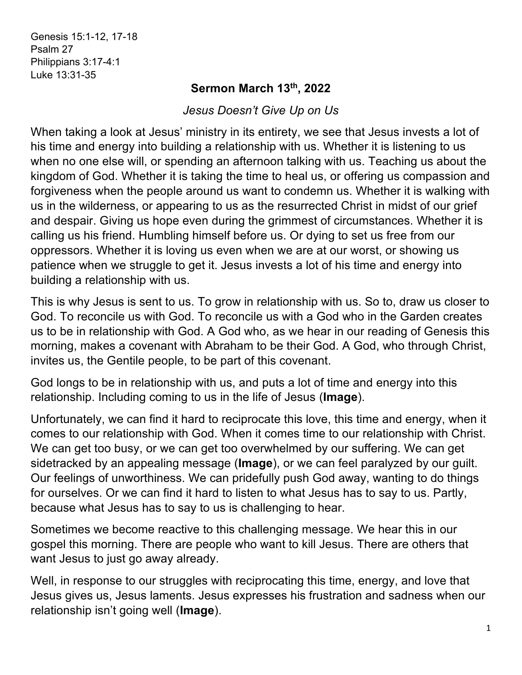Genesis 15:1-12, 17-18 Psalm 27 Philippians 3:17-4:1 Luke 13:31-35

## **Sermon March 13th, 2022**

*Jesus Doesn't Give Up on Us*

When taking a look at Jesus' ministry in its entirety, we see that Jesus invests a lot of his time and energy into building a relationship with us. Whether it is listening to us when no one else will, or spending an afternoon talking with us. Teaching us about the kingdom of God. Whether it is taking the time to heal us, or offering us compassion and forgiveness when the people around us want to condemn us. Whether it is walking with us in the wilderness, or appearing to us as the resurrected Christ in midst of our grief and despair. Giving us hope even during the grimmest of circumstances. Whether it is calling us his friend. Humbling himself before us. Or dying to set us free from our oppressors. Whether it is loving us even when we are at our worst, or showing us patience when we struggle to get it. Jesus invests a lot of his time and energy into building a relationship with us.

This is why Jesus is sent to us. To grow in relationship with us. So to, draw us closer to God. To reconcile us with God. To reconcile us with a God who in the Garden creates us to be in relationship with God. A God who, as we hear in our reading of Genesis this morning, makes a covenant with Abraham to be their God. A God, who through Christ, invites us, the Gentile people, to be part of this covenant.

God longs to be in relationship with us, and puts a lot of time and energy into this relationship. Including coming to us in the life of Jesus (**Image**).

Unfortunately, we can find it hard to reciprocate this love, this time and energy, when it comes to our relationship with God. When it comes time to our relationship with Christ. We can get too busy, or we can get too overwhelmed by our suffering. We can get sidetracked by an appealing message (**Image**), or we can feel paralyzed by our guilt. Our feelings of unworthiness. We can pridefully push God away, wanting to do things for ourselves. Or we can find it hard to listen to what Jesus has to say to us. Partly, because what Jesus has to say to us is challenging to hear.

Sometimes we become reactive to this challenging message. We hear this in our gospel this morning. There are people who want to kill Jesus. There are others that want Jesus to just go away already.

Well, in response to our struggles with reciprocating this time, energy, and love that Jesus gives us, Jesus laments. Jesus expresses his frustration and sadness when our relationship isn't going well (**Image**).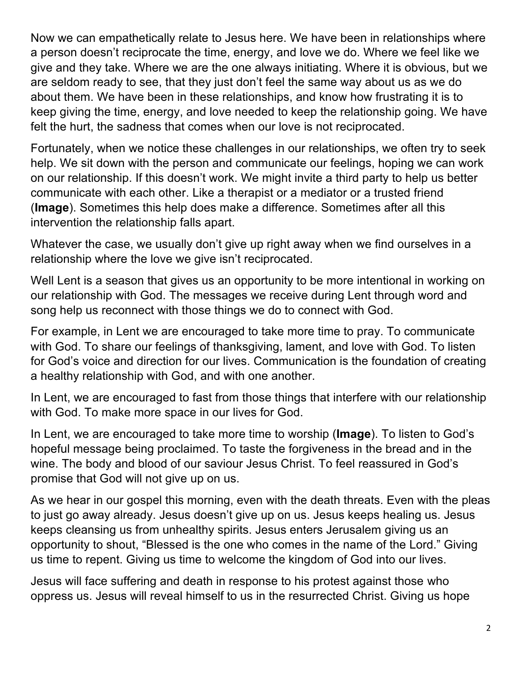Now we can empathetically relate to Jesus here. We have been in relationships where a person doesn't reciprocate the time, energy, and love we do. Where we feel like we give and they take. Where we are the one always initiating. Where it is obvious, but we are seldom ready to see, that they just don't feel the same way about us as we do about them. We have been in these relationships, and know how frustrating it is to keep giving the time, energy, and love needed to keep the relationship going. We have felt the hurt, the sadness that comes when our love is not reciprocated.

Fortunately, when we notice these challenges in our relationships, we often try to seek help. We sit down with the person and communicate our feelings, hoping we can work on our relationship. If this doesn't work. We might invite a third party to help us better communicate with each other. Like a therapist or a mediator or a trusted friend (**Image**). Sometimes this help does make a difference. Sometimes after all this intervention the relationship falls apart.

Whatever the case, we usually don't give up right away when we find ourselves in a relationship where the love we give isn't reciprocated.

Well Lent is a season that gives us an opportunity to be more intentional in working on our relationship with God. The messages we receive during Lent through word and song help us reconnect with those things we do to connect with God.

For example, in Lent we are encouraged to take more time to pray. To communicate with God. To share our feelings of thanksgiving, lament, and love with God. To listen for God's voice and direction for our lives. Communication is the foundation of creating a healthy relationship with God, and with one another.

In Lent, we are encouraged to fast from those things that interfere with our relationship with God. To make more space in our lives for God.

In Lent, we are encouraged to take more time to worship (**Image**). To listen to God's hopeful message being proclaimed. To taste the forgiveness in the bread and in the wine. The body and blood of our saviour Jesus Christ. To feel reassured in God's promise that God will not give up on us.

As we hear in our gospel this morning, even with the death threats. Even with the pleas to just go away already. Jesus doesn't give up on us. Jesus keeps healing us. Jesus keeps cleansing us from unhealthy spirits. Jesus enters Jerusalem giving us an opportunity to shout, "Blessed is the one who comes in the name of the Lord." Giving us time to repent. Giving us time to welcome the kingdom of God into our lives.

Jesus will face suffering and death in response to his protest against those who oppress us. Jesus will reveal himself to us in the resurrected Christ. Giving us hope